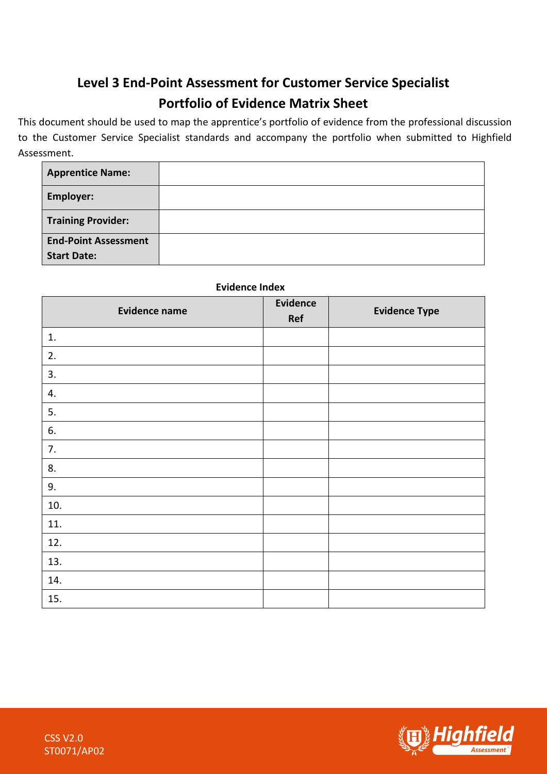## **Level 3 End-Point Assessment for Customer Service Specialist Portfolio of Evidence Matrix Sheet**

This document should be used to map the apprentice's portfolio of evidence from the professional discussion to the Customer Service Specialist standards and accompany the portfolio when submitted to Highfield Assessment.

| <b>Apprentice Name:</b>     |  |
|-----------------------------|--|
| Employer:                   |  |
| <b>Training Provider:</b>   |  |
| <b>End-Point Assessment</b> |  |
| <b>Start Date:</b>          |  |

## **Evidence Index**

| <b>Evidence name</b> | <b>Evidence</b><br>Ref | <b>Evidence Type</b> |
|----------------------|------------------------|----------------------|
| 1.                   |                        |                      |
| 2.                   |                        |                      |
| 3.                   |                        |                      |
| 4.                   |                        |                      |
| 5.                   |                        |                      |
| 6.                   |                        |                      |
| 7.                   |                        |                      |
| 8.                   |                        |                      |
| 9.                   |                        |                      |
| 10.                  |                        |                      |
| 11.                  |                        |                      |
| 12.                  |                        |                      |
| 13.                  |                        |                      |
| 14.                  |                        |                      |
| 15.                  |                        |                      |

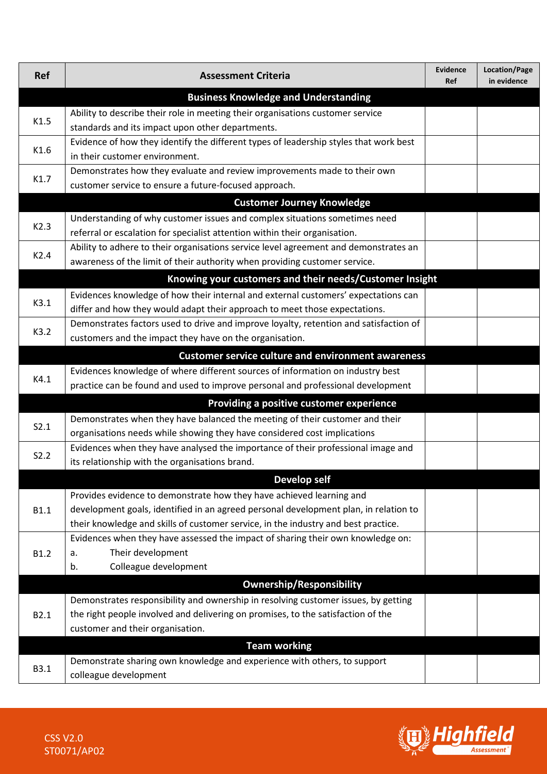| <b>Ref</b>                                                                               | <b>Assessment Criteria</b>                                                            | Evidence<br><b>Ref</b> | Location/Page<br>in evidence |  |  |
|------------------------------------------------------------------------------------------|---------------------------------------------------------------------------------------|------------------------|------------------------------|--|--|
| <b>Business Knowledge and Understanding</b>                                              |                                                                                       |                        |                              |  |  |
| K1.5                                                                                     | Ability to describe their role in meeting their organisations customer service        |                        |                              |  |  |
|                                                                                          | standards and its impact upon other departments.                                      |                        |                              |  |  |
| K1.6                                                                                     | Evidence of how they identify the different types of leadership styles that work best |                        |                              |  |  |
|                                                                                          | in their customer environment.                                                        |                        |                              |  |  |
| K1.7                                                                                     | Demonstrates how they evaluate and review improvements made to their own              |                        |                              |  |  |
|                                                                                          | customer service to ensure a future-focused approach.                                 |                        |                              |  |  |
|                                                                                          | <b>Customer Journey Knowledge</b>                                                     |                        |                              |  |  |
| K2.3                                                                                     | Understanding of why customer issues and complex situations sometimes need            |                        |                              |  |  |
|                                                                                          | referral or escalation for specialist attention within their organisation.            |                        |                              |  |  |
| K2.4                                                                                     | Ability to adhere to their organisations service level agreement and demonstrates an  |                        |                              |  |  |
|                                                                                          | awareness of the limit of their authority when providing customer service.            |                        |                              |  |  |
|                                                                                          | Knowing your customers and their needs/Customer Insight                               |                        |                              |  |  |
| K3.1                                                                                     | Evidences knowledge of how their internal and external customers' expectations can    |                        |                              |  |  |
|                                                                                          | differ and how they would adapt their approach to meet those expectations.            |                        |                              |  |  |
| K3.2                                                                                     | Demonstrates factors used to drive and improve loyalty, retention and satisfaction of |                        |                              |  |  |
|                                                                                          | customers and the impact they have on the organisation.                               |                        |                              |  |  |
|                                                                                          | <b>Customer service culture and environment awareness</b>                             |                        |                              |  |  |
| K4.1                                                                                     | Evidences knowledge of where different sources of information on industry best        |                        |                              |  |  |
|                                                                                          | practice can be found and used to improve personal and professional development       |                        |                              |  |  |
|                                                                                          | Providing a positive customer experience                                              |                        |                              |  |  |
|                                                                                          | Demonstrates when they have balanced the meeting of their customer and their          |                        |                              |  |  |
| S2.1                                                                                     | organisations needs while showing they have considered cost implications              |                        |                              |  |  |
| Evidences when they have analysed the importance of their professional image and<br>S2.2 |                                                                                       |                        |                              |  |  |
|                                                                                          | its relationship with the organisations brand.                                        |                        |                              |  |  |
|                                                                                          | <b>Develop self</b>                                                                   |                        |                              |  |  |
|                                                                                          | Provides evidence to demonstrate how they have achieved learning and                  |                        |                              |  |  |
| <b>B1.1</b>                                                                              | development goals, identified in an agreed personal development plan, in relation to  |                        |                              |  |  |
|                                                                                          | their knowledge and skills of customer service, in the industry and best practice.    |                        |                              |  |  |
|                                                                                          | Evidences when they have assessed the impact of sharing their own knowledge on:       |                        |                              |  |  |
| B1.2                                                                                     | Their development<br>a.                                                               |                        |                              |  |  |
|                                                                                          | Colleague development<br>b.                                                           |                        |                              |  |  |
|                                                                                          | <b>Ownership/Responsibility</b>                                                       |                        |                              |  |  |
|                                                                                          | Demonstrates responsibility and ownership in resolving customer issues, by getting    |                        |                              |  |  |
| B2.1                                                                                     | the right people involved and delivering on promises, to the satisfaction of the      |                        |                              |  |  |
|                                                                                          | customer and their organisation.                                                      |                        |                              |  |  |
|                                                                                          | <b>Team working</b>                                                                   |                        |                              |  |  |
| <b>B3.1</b>                                                                              | Demonstrate sharing own knowledge and experience with others, to support              |                        |                              |  |  |
|                                                                                          | colleague development                                                                 |                        |                              |  |  |